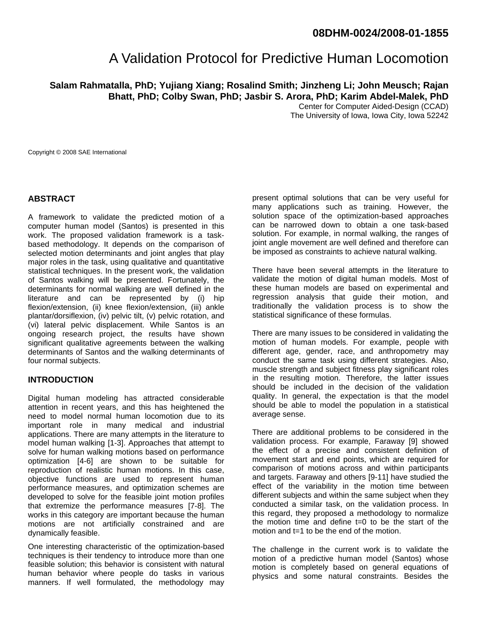# A Validation Protocol for Predictive Human Locomotion

**Salam Rahmatalla, PhD; Yujiang Xiang; Rosalind Smith; Jinzheng Li; John Meusch; Rajan Bhatt, PhD; Colby Swan, PhD; Jasbir S. Arora, PhD; Karim Abdel-Malek, PhD**  Center for Computer Aided-Design (CCAD)

The University of Iowa, Iowa City, Iowa 52242

Copyright © 2008 SAE International

## **ABSTRACT**

A framework to validate the predicted motion of a computer human model (Santos) is presented in this work. The proposed validation framework is a taskbased methodology. It depends on the comparison of selected motion determinants and joint angles that play major roles in the task, using qualitative and quantitative statistical techniques. In the present work, the validation of Santos walking will be presented. Fortunately, the determinants for normal walking are well defined in the literature and can be represented by (i) hip flexion/extension, (ii) knee flexion/extension, (iii) ankle plantar/dorsiflexion, (iv) pelvic tilt, (v) pelvic rotation, and (vi) lateral pelvic displacement. While Santos is an ongoing research project, the results have shown significant qualitative agreements between the walking determinants of Santos and the walking determinants of four normal subjects.

## **INTRODUCTION**

Digital human modeling has attracted considerable attention in recent years, and this has heightened the need to model normal human locomotion due to its important role in many medical and industrial applications. There are many attempts in the literature to model human walking [1-3]. Approaches that attempt to solve for human walking motions based on performance optimization [4-6] are shown to be suitable for reproduction of realistic human motions. In this case, objective functions are used to represent human performance measures, and optimization schemes are developed to solve for the feasible joint motion profiles that extremize the performance measures [7-8]. The works in this category are important because the human motions are not artificially constrained and are dynamically feasible.

One interesting characteristic of the optimization-based techniques is their tendency to introduce more than one feasible solution; this behavior is consistent with natural human behavior where people do tasks in various manners. If well formulated, the methodology may

present optimal solutions that can be very useful for many applications such as training. However, the solution space of the optimization-based approaches can be narrowed down to obtain a one task-based solution. For example, in normal walking, the ranges of joint angle movement are well defined and therefore can be imposed as constraints to achieve natural walking.

There have been several attempts in the literature to validate the motion of digital human models. Most of these human models are based on experimental and regression analysis that guide their motion, and traditionally the validation process is to show the statistical significance of these formulas.

There are many issues to be considered in validating the motion of human models. For example, people with different age, gender, race, and anthropometry may conduct the same task using different strategies. Also, muscle strength and subject fitness play significant roles in the resulting motion. Therefore, the latter issues should be included in the decision of the validation quality. In general, the expectation is that the model should be able to model the population in a statistical average sense.

There are additional problems to be considered in the validation process. For example, Faraway [9] showed the effect of a precise and consistent definition of movement start and end points, which are required for comparison of motions across and within participants and targets. Faraway and others [9-11] have studied the effect of the variability in the motion time between different subjects and within the same subject when they conducted a similar task, on the validation process. In this regard, they proposed a methodology to normalize the motion time and define t=0 to be the start of the motion and t=1 to be the end of the motion.

The challenge in the current work is to validate the motion of a predictive human model (Santos) whose motion is completely based on general equations of physics and some natural constraints. Besides the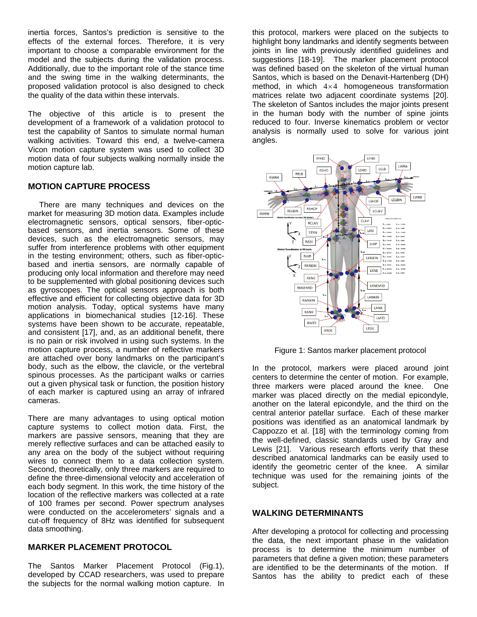inertia forces, Santos's prediction is sensitive to the effects of the external forces. Therefore, it is very important to choose a comparable environment for the model and the subjects during the validation process. Additionally, due to the important role of the stance time and the swing time in the walking determinants, the proposed validation protocol is also designed to check the quality of the data within these intervals.

The objective of this article is to present the development of a framework of a validation protocol to test the capability of Santos to simulate normal human walking activities. Toward this end, a twelve-camera Vicon motion capture system was used to collect 3D motion data of four subjects walking normally inside the motion capture lab.

## **MOTION CAPTURE PROCESS**

There are many techniques and devices on the market for measuring 3D motion data. Examples include electromagnetic sensors, optical sensors, fiber-opticbased sensors, and inertia sensors. Some of these devices, such as the electromagnetic sensors, may suffer from interference problems with other equipment in the testing environment; others, such as fiber-opticbased and inertia sensors, are normally capable of producing only local information and therefore may need to be supplemented with global positioning devices such as gyroscopes. The optical sensors approach is both effective and efficient for collecting objective data for 3D motion analysis. Today, optical systems have many applications in biomechanical studies [12-16]. These systems have been shown to be accurate, repeatable, and consistent [17], and, as an additional benefit, there is no pain or risk involved in using such systems. In the motion capture process, a number of reflective markers are attached over bony landmarks on the participant's body, such as the elbow, the clavicle, or the vertebral spinous processes. As the participant walks or carries out a given physical task or function, the position history of each marker is captured using an array of infrared cameras.

There are many advantages to using optical motion capture systems to collect motion data. First, the markers are passive sensors, meaning that they are merely reflective surfaces and can be attached easily to any area on the body of the subject without requiring wires to connect them to a data collection system. Second, theoretically, only three markers are required to define the three-dimensional velocity and acceleration of each body segment. In this work, the time history of the location of the reflective markers was collected at a rate of 100 frames per second. Power spectrum analyses were conducted on the accelerometers' signals and a cut-off frequency of 8Hz was identified for subsequent data smoothing.

#### **MARKER PLACEMENT PROTOCOL**

The Santos Marker Placement Protocol (Fig.1), developed by CCAD researchers, was used to prepare the subjects for the normal walking motion capture. In

this protocol, markers were placed on the subjects to highlight bony landmarks and identify segments between joints in line with previously identified guidelines and suggestions [18-19]. The marker placement protocol was defined based on the skeleton of the virtual human Santos, which is based on the Denavit-Hartenberg (DH) method, in which  $4 \times 4$  homogeneous transformation matrices relate two adjacent coordinate systems [20]. The skeleton of Santos includes the major joints present in the human body with the number of spine joints reduced to four. Inverse kinematics problem or vector analysis is normally used to solve for various joint angles.



Figure 1: Santos marker placement protocol

In the protocol, markers were placed around joint centers to determine the center of motion. For example, three markers were placed around the knee. One marker was placed directly on the medial epicondyle, another on the lateral epicondyle, and the third on the central anterior patellar surface. Each of these marker positions was identified as an anatomical landmark by Cappozzo et al. [18] with the terminology coming from the well-defined, classic standards used by Gray and Lewis [21]. Various research efforts verify that these described anatomical landmarks can be easily used to identify the geometric center of the knee. A similar technique was used for the remaining joints of the subject.

#### **WALKING DETERMINANTS**

After developing a protocol for collecting and processing the data, the next important phase in the validation process is to determine the minimum number of parameters that define a given motion; these parameters are identified to be the determinants of the motion. If Santos has the ability to predict each of these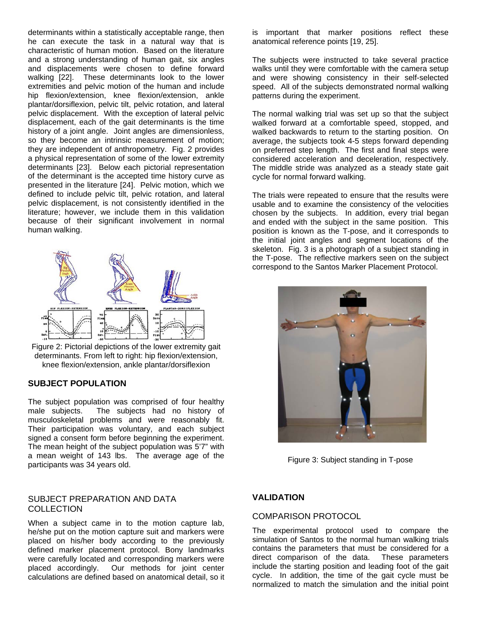determinants within a statistically acceptable range, then he can execute the task in a natural way that is characteristic of human motion. Based on the literature and a strong understanding of human gait, six angles and displacements were chosen to define forward walking [22]. These determinants look to the lower extremities and pelvic motion of the human and include hip flexion/extension, knee flexion/extension, ankle plantar/dorsiflexion, pelvic tilt, pelvic rotation, and lateral pelvic displacement. With the exception of lateral pelvic displacement, each of the gait determinants is the time history of a joint angle. Joint angles are dimensionless, so they become an intrinsic measurement of motion; they are independent of anthropometry. Fig. 2 provides a physical representation of some of the lower extremity determinants [23]. Below each pictorial representation of the determinant is the accepted time history curve as presented in the literature [24]. Pelvic motion, which we defined to include pelvic tilt, pelvic rotation, and lateral pelvic displacement, is not consistently identified in the literature; however, we include them in this validation because of their significant involvement in normal human walking.



Figure 2: Pictorial depictions of the lower extremity gait determinants. From left to right: hip flexion/extension, knee flexion/extension, ankle plantar/dorsiflexion

## **SUBJECT POPULATION**

The subject population was comprised of four healthy<br>male subjects. The subjects had no history of The subjects had no history of musculoskeletal problems and were reasonably fit. Their participation was voluntary, and each subject signed a consent form before beginning the experiment. The mean height of the subject population was 5'7" with a mean weight of 143 lbs. The average age of the participants was 34 years old.

#### SUBJECT PREPARATION AND DATA COLLECTION

When a subject came in to the motion capture lab, he/she put on the motion capture suit and markers were placed on his/her body according to the previously defined marker placement protocol. Bony landmarks were carefully located and corresponding markers were placed accordingly. Our methods for joint center calculations are defined based on anatomical detail, so it

is important that marker positions reflect these anatomical reference points [19, 25].

The subjects were instructed to take several practice walks until they were comfortable with the camera setup and were showing consistency in their self-selected speed. All of the subjects demonstrated normal walking patterns during the experiment.

The normal walking trial was set up so that the subject walked forward at a comfortable speed, stopped, and walked backwards to return to the starting position. On average, the subjects took 4-5 steps forward depending on preferred step length. The first and final steps were considered acceleration and deceleration, respectively. The middle stride was analyzed as a steady state gait cycle for normal forward walking.

The trials were repeated to ensure that the results were usable and to examine the consistency of the velocities chosen by the subjects. In addition, every trial began and ended with the subject in the same position. This position is known as the T-pose, and it corresponds to the initial joint angles and segment locations of the skeleton. Fig. 3 is a photograph of a subject standing in the T-pose. The reflective markers seen on the subject correspond to the Santos Marker Placement Protocol.



Figure 3: Subject standing in T-pose

## **VALIDATION**

#### COMPARISON PROTOCOL

The experimental protocol used to compare the simulation of Santos to the normal human walking trials contains the parameters that must be considered for a direct comparison of the data. These parameters include the starting position and leading foot of the gait cycle. In addition, the time of the gait cycle must be normalized to match the simulation and the initial point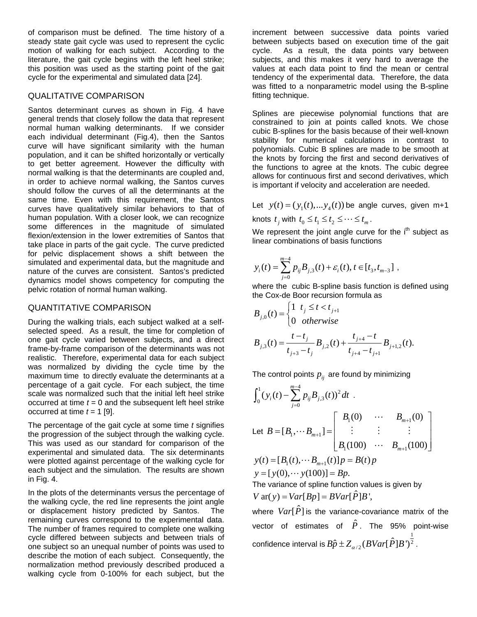of comparison must be defined. The time history of a steady state gait cycle was used to represent the cyclic motion of walking for each subject. According to the literature, the gait cycle begins with the left heel strike; this position was used as the starting point of the gait cycle for the experimental and simulated data [24].

# QUALITATIVE COMPARISON

Santos determinant curves as shown in Fig. 4 have general trends that closely follow the data that represent normal human walking determinants. If we consider each individual determinant (Fig.4), then the Santos curve will have significant similarity with the human population, and it can be shifted horizontally or vertically to get better agreement. However the difficulty with normal walking is that the determinants are coupled and, in order to achieve normal walking, the Santos curves should follow the curves of all the determinants at the same time. Even with this requirement, the Santos curves have qualitatively similar behaviors to that of human population. With a closer look, we can recognize some differences in the magnitude of simulated flexion/extension in the lower extremities of Santos that take place in parts of the gait cycle. The curve predicted for pelvic displacement shows a shift between the simulated and experimental data, but the magnitude and nature of the curves are consistent. Santos's predicted dynamics model shows competency for computing the pelvic rotation of normal human walking.

## QUANTITATIVE COMPARISON

During the walking trials, each subject walked at a selfselected speed. As a result, the time for completion of one gait cycle varied between subjects, and a direct frame-by-frame comparison of the determinants was not realistic. Therefore, experimental data for each subject was normalized by dividing the cycle time by the maximum time to directly evaluate the determinants at a percentage of a gait cycle. For each subject, the time scale was normalized such that the initial left heel strike occurred at time *t* = 0 and the subsequent left heel strike occurred at time  $t = 1$  [9].

The percentage of the gait cycle at some time *t* signifies the progression of the subject through the walking cycle. This was used as our standard for comparison of the experimental and simulated data. The six determinants were plotted against percentage of the walking cycle for each subject and the simulation. The results are shown in Fig. 4.

In the plots of the determinants versus the percentage of the walking cycle, the red line represents the joint angle or displacement history predicted by Santos. The remaining curves correspond to the experimental data. The number of frames required to complete one walking cycle differed between subjects and between trials of one subject so an unequal number of points was used to describe the motion of each subject. Consequently, the normalization method previously described produced a walking cycle from 0-100% for each subject, but the

increment between successive data points varied between subjects based on execution time of the gait cycle. As a result, the data points vary between subjects, and this makes it very hard to average the values at each data point to find the mean or central tendency of the experimental data. Therefore, the data was fitted to a nonparametric model using the B-spline fitting technique.

Splines are piecewise polynomial functions that are constrained to join at points called knots. We chose cubic B-splines for the basis because of their well-known stability for numerical calculations in contrast to polynomials. Cubic B splines are made to be smooth at the knots by forcing the first and second derivatives of the functions to agree at the knots. The cubic degree allows for continuous first and second derivatives, which is important if velocity and acceleration are needed.

Let  $y(t) = (y_1(t),..., y_4(t))$  be angle curves, given m+1

knots  $t_i$  with  $t_0 \leq t_1 \leq t_2 \leq \cdots \leq t_m$ .

We represent the joint angle curve for the  $i<sup>th</sup>$  subject as linear combinations of basis functions

$$
y_i(t) = \sum_{j=0}^{m-4} p_{ij} B_{j,3}(t) + \varepsilon_i(t), t \in [t_3, t_{m-3}],
$$

where the cubic B-spline basis function is defined using the Cox-de Boor recursion formula as

$$
B_{j,0}(t) = \begin{cases} 1 & t_j \le t < t_{j+1} \\ 0 & otherwise \end{cases}
$$
  
\n
$$
B_{j,3}(t) = \frac{t - t_j}{t_{j+3} - t_j} B_{j,2}(t) + \frac{t_{j+4} - t}{t_{j+4} - t_{j+1}} B_{j+1,2}(t).
$$

The control points  $p_{ij}$  are found by minimizing

$$
\int_0^1 (y_i(t) - \sum_{j=0}^{m-4} p_{ij} B_{j,3}(t))^2 dt
$$
  
Let  $B = [B_1, \dots, B_{m+1}] = \begin{bmatrix} B_1(0) & \dots & B_{m+1}(0) \\ \vdots & \vdots & \vdots \\ B_1(100) & \dots & B_{m+1}(100) \end{bmatrix}$   
 $y(t) = [B(t), B_1(t)]p = B(t)p$ 

$$
y(t) = [B_1(t), \cdots B_{m+1}(t)]p = B(t)p
$$
  

$$
y = [y(0), \cdots y(100)] = Bp.
$$

The variance of spline function values is given by  $V \text{ ar}(\mathbf{y}) = Var[ Bp ] = BVar[\hat{P}]B',$ 

where  $Var[\hat{P}]$  is the variance-covariance matrix of the vector of estimates of  $\hat{P}$ . The 95% point-wise confidence interval is 1  $B\hat{p} \pm Z_{\alpha/2} (BVar[\hat{P}]B')^{\frac{1}{2}}$ .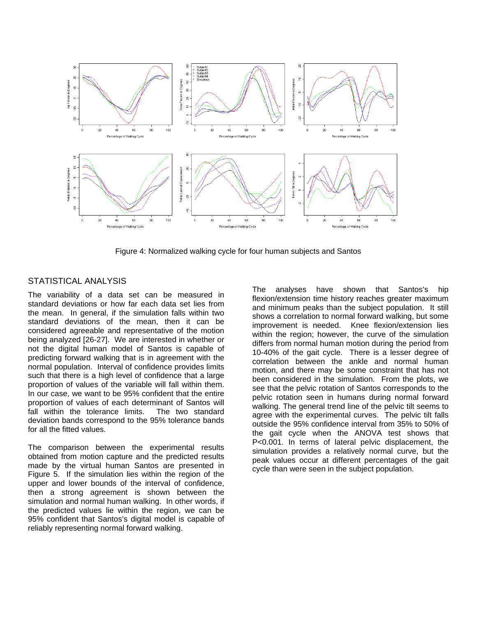

Figure 4: Normalized walking cycle for four human subjects and Santos

## STATISTICAL ANALYSIS

The variability of a data set can be measured in standard deviations or how far each data set lies from the mean. In general, if the simulation falls within two standard deviations of the mean, then it can be considered agreeable and representative of the motion being analyzed [26-27]. We are interested in whether or not the digital human model of Santos is capable of predicting forward walking that is in agreement with the normal population. Interval of confidence provides limits such that there is a high level of confidence that a large proportion of values of the variable will fall within them. In our case, we want to be 95% confident that the entire proportion of values of each determinant of Santos will fall within the tolerance limits. The two standard deviation bands correspond to the 95% tolerance bands for all the fitted values.

The comparison between the experimental results obtained from motion capture and the predicted results made by the virtual human Santos are presented in Figure 5. If the simulation lies within the region of the upper and lower bounds of the interval of confidence, then a strong agreement is shown between the simulation and normal human walking. In other words, if the predicted values lie within the region, we can be 95% confident that Santos's digital model is capable of reliably representing normal forward walking.

The analyses have shown that Santos's hip flexion/extension time history reaches greater maximum and minimum peaks than the subject population. It still shows a correlation to normal forward walking, but some improvement is needed. Knee flexion/extension lies within the region; however, the curve of the simulation differs from normal human motion during the period from 10-40% of the gait cycle. There is a lesser degree of correlation between the ankle and normal human motion, and there may be some constraint that has not been considered in the simulation. From the plots, we see that the pelvic rotation of Santos corresponds to the pelvic rotation seen in humans during normal forward walking. The general trend line of the pelvic tilt seems to agree with the experimental curves. The pelvic tilt falls outside the 95% confidence interval from 35% to 50% of the gait cycle when the ANOVA test shows that P<0.001. In terms of lateral pelvic displacement, the simulation provides a relatively normal curve, but the peak values occur at different percentages of the gait cycle than were seen in the subject population.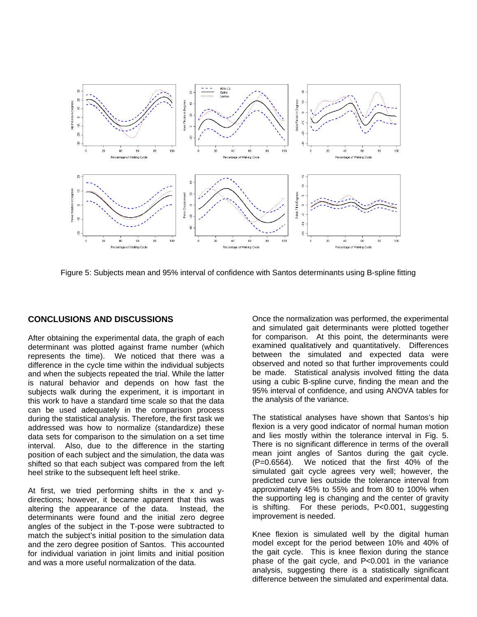

Figure 5: Subjects mean and 95% interval of confidence with Santos determinants using B-spline fitting

## **CONCLUSIONS AND DISCUSSIONS**

After obtaining the experimental data, the graph of each determinant was plotted against frame number (which represents the time). We noticed that there was a difference in the cycle time within the individual subjects and when the subjects repeated the trial. While the latter is natural behavior and depends on how fast the subjects walk during the experiment, it is important in this work to have a standard time scale so that the data can be used adequately in the comparison process during the statistical analysis. Therefore, the first task we addressed was how to normalize (standardize) these data sets for comparison to the simulation on a set time interval. Also, due to the difference in the starting position of each subject and the simulation, the data was shifted so that each subject was compared from the left heel strike to the subsequent left heel strike.

At first, we tried performing shifts in the x and ydirections; however, it became apparent that this was altering the appearance of the data. Instead, the determinants were found and the initial zero degree angles of the subject in the T-pose were subtracted to match the subject's initial position to the simulation data and the zero degree position of Santos. This accounted for individual variation in joint limits and initial position and was a more useful normalization of the data.

Once the normalization was performed, the experimental and simulated gait determinants were plotted together for comparison. At this point, the determinants were examined qualitatively and quantitatively. Differences between the simulated and expected data were observed and noted so that further improvements could be made. Statistical analysis involved fitting the data using a cubic B-spline curve, finding the mean and the 95% interval of confidence, and using ANOVA tables for the analysis of the variance.

The statistical analyses have shown that Santos's hip flexion is a very good indicator of normal human motion and lies mostly within the tolerance interval in Fig. 5. There is no significant difference in terms of the overall mean joint angles of Santos during the gait cycle. (P=0.6564). We noticed that the first 40% of the simulated gait cycle agrees very well; however, the predicted curve lies outside the tolerance interval from approximately 45% to 55% and from 80 to 100% when the supporting leg is changing and the center of gravity is shifting. For these periods, P<0.001, suggesting improvement is needed.

Knee flexion is simulated well by the digital human model except for the period between 10% and 40% of the gait cycle. This is knee flexion during the stance phase of the gait cycle, and P<0.001 in the variance analysis, suggesting there is a statistically significant difference between the simulated and experimental data.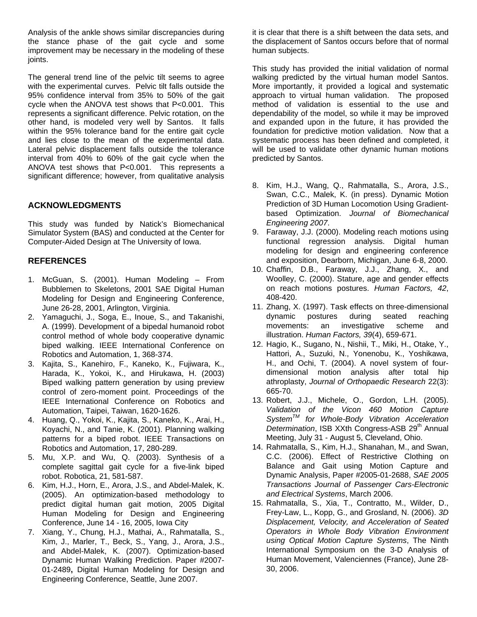Analysis of the ankle shows similar discrepancies during the stance phase of the gait cycle and some improvement may be necessary in the modeling of these joints.

The general trend line of the pelvic tilt seems to agree with the experimental curves. Pelvic tilt falls outside the 95% confidence interval from 35% to 50% of the gait cycle when the ANOVA test shows that P<0.001. This represents a significant difference. Pelvic rotation, on the other hand, is modeled very well by Santos. It falls within the 95% tolerance band for the entire gait cycle and lies close to the mean of the experimental data. Lateral pelvic displacement falls outside the tolerance interval from 40% to 60% of the gait cycle when the ANOVA test shows that P<0.001. This represents a significant difference; however, from qualitative analysis

# **ACKNOWLEDGMENTS**

This study was funded by Natick's Biomechanical Simulator System (BAS) and conducted at the Center for Computer-Aided Design at The University of Iowa.

## **REFERENCES**

- 1. McGuan, S. (2001). Human Modeling From Bubblemen to Skeletons, 2001 SAE Digital Human Modeling for Design and Engineering Conference, June 26-28, 2001, Arlington, Virginia.
- 2. Yamaguchi, J., Soga, E., Inoue, S., and Takanishi, A. (1999). Development of a bipedal humanoid robot control method of whole body cooperative dynamic biped walking. IEEE International Conference on Robotics and Automation, 1, 368-374.
- 3. Kajita, S., Kanehiro, F., Kaneko, K., Fujiwara, K., Harada, K., Yokoi, K., and Hirukawa, H. (2003) Biped walking pattern generation by using preview control of zero-moment point. Proceedings of the IEEE International Conference on Robotics and Automation, Taipei, Taiwan, 1620-1626.
- 4. Huang, Q., Yokoi, K., Kajita, S., Kaneko, K., Arai, H., Koyachi, N., and Tanie, K. (2001). Planning walking patterns for a biped robot. IEEE Transactions on Robotics and Automation, 17, 280-289.
- 5. Mu, X.P. and Wu, Q. (2003). Synthesis of a complete sagittal gait cycle for a five-link biped robot. Robotica, 21, 581-587.
- 6. Kim, H.J., Horn, E., Arora, J.S., and Abdel-Malek, K. (2005). An optimization-based methodology to predict digital human gait motion, 2005 Digital Human Modeling for Design and Engineering Conference, June 14 - 16, 2005, Iowa City
- 7. Xiang, Y., Chung, H.J., Mathai, A., Rahmatalla, S., Kim, J., Marler, T., Beck, S., Yang, J., Arora, J.S., and Abdel-Malek, K. (2007). Optimization-based Dynamic Human Walking Prediction. Paper #2007- 01-2489**,** Digital Human Modeling for Design and Engineering Conference, Seattle, June 2007.

it is clear that there is a shift between the data sets, and the displacement of Santos occurs before that of normal human subjects.

This study has provided the initial validation of normal walking predicted by the virtual human model Santos. More importantly, it provided a logical and systematic approach to virtual human validation. The proposed method of validation is essential to the use and dependability of the model, so while it may be improved and expanded upon in the future, it has provided the foundation for predictive motion validation. Now that a systematic process has been defined and completed, it will be used to validate other dynamic human motions predicted by Santos.

- 8. Kim, H.J., Wang, Q., Rahmatalla, S., Arora, J.S., Swan, C.C., Malek, K. (in press). Dynamic Motion Prediction of 3D Human Locomotion Using Gradientbased Optimization. *Journal of Biomechanical Engineering 2007*.
- 9. Faraway, J.J. (2000). Modeling reach motions using functional regression analysis. Digital human modeling for design and engineering conference and exposition, Dearborn, Michigan, June 6-8, 2000.
- 10. Chaffin, D.B., Faraway, J.J., Zhang, X., and Woolley, C. (2000). Stature, age and gender effects on reach motions postures. *Human Factors, 42*, 408-420.
- 11. Zhang, X. (1997). Task effects on three-dimensional dynamic postures during seated reaching movements: an investigative scheme and illustration. *Human Factors, 39*(4), 659-671.
- 12. Hagio, K., Sugano, N., Nishii, T., Miki, H., Otake, Y., Hattori, A., Suzuki, N., Yonenobu, K., Yoshikawa, H., and Ochi, T. (2004). A novel system of fourdimensional motion analysis after total hip athroplasty, *Journal of Orthopaedic Research* 22(3): 665-70.
- 13. Robert, J.J., Michele, O., Gordon, L.H. (2005). *Validation of the Vicon 460 Motion Capture SystemTM for Whole-Body Vibration Acceleration*  Determination, ISB XXth Congress-ASB 29<sup>th</sup> Annual Meeting, July 31 - August 5, Cleveland, Ohio.
- 14. Rahmatalla, S., Kim, H.J., Shanahan, M., and Swan, C.C. (2006). Effect of Restrictive Clothing on Balance and Gait using Motion Capture and Dynamic Analysis, Paper #2005-01-2688, *SAE 2005 Transactions Journal of Passenger Cars-Electronic and Electrical Systems*, March 2006.
- 15. Rahmatalla, S., Xia, T., Contratto, M., Wilder, D., Frey-Law, L., Kopp, G., and Grosland, N. (2006). *3D Displacement, Velocity, and Acceleration of Seated Operators in Whole Body Vibration Environment using Optical Motion Capture Systems*, The Ninth International Symposium on the 3-D Analysis of Human Movement, Valenciennes (France), June 28- 30, 2006.